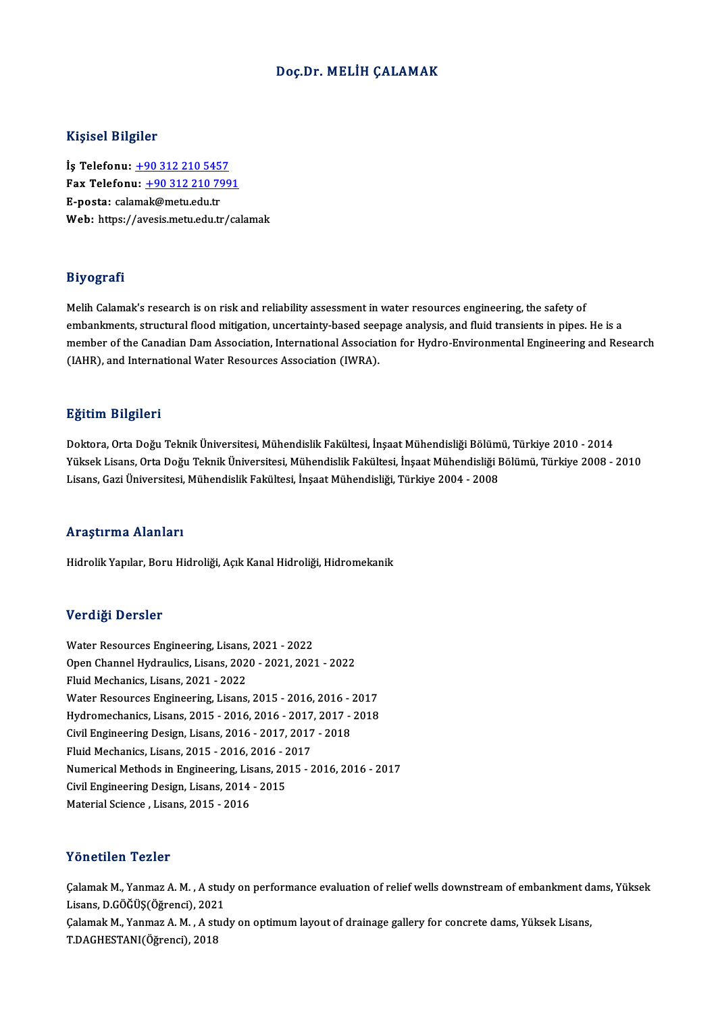## Doç.Dr.MELİHÇALAMAK

#### Kişisel Bilgiler

Kişisel Bilgiler<br>İş Telefonu: <u>+90 312 210 5457</u><br>Fax Telefonu: +90 312 210 799 Fax Telefonu:  $\frac{+90\,312\,210\,7991}{+}$ E-posta: calamak@metu.edu.tr İş Telefonu: <u>+90 312 210 545</u><br>Fax Telefonu: <u>+90 312 210 79</u><br>E-posta: cala[ma](tel:+90 312 210 5457)[k@metu.edu.tr](tel:+90 312 210 7991)<br>Web: https://avesis.metu.edu.tr Web: https://avesis.metu.edu.tr/calamak

## Biyografi

**Biyografi**<br>Melih Calamak's research is on risk and reliability assessment in water resources engineering, the safety of<br>ambaniments, structural flood mitigation, uncertainty based seenage analysis, and fluid transients in exy egalax<br>Melih Calamak's research is on risk and reliability assessment in water resources engineering, the safety of<br>embankments, structural flood mitigation, uncertainty-based seepage analysis, and fluid transients in member of the Canadian Dam Association, International Association for Hydro-Environmental Engineering and Research<br>(IAHR), and International Water Resources Association (IWRA). embankments, structural flood mitigation, uncertainty-based seepage analysis, and fluid transients in pipes. He is a

## Eğitim Bilgileri

**Eğitim Bilgileri**<br>Doktora, Orta Doğu Teknik Üniversitesi, Mühendislik Fakültesi, İnşaat Mühendisliği Bölümü, Türkiye 2010 - 2014<br>Yükaek Lisana Orta Doğu Teknik Üniversitesi, Mühendislik Fakültesi, İnsast Mühendisliği Bölü Yüksek Lisans, Orta Doğu Teknik Üniversitesi, Mühendislik Fakültesi, İnşaat Mühendisliği Bölümü, Türkiye 2008 - 2010<br>Lisans, Gazi Üniversitesi, Mühendislik Fakültesi, İnşaat Mühendisliği, Türkiye 2004 - 2008 Doktora, Orta Doğu Teknik Üniversitesi, Mühendislik Fakültesi, İnşaat Mühendisliği Bölüm<br>Yüksek Lisans, Orta Doğu Teknik Üniversitesi, Mühendislik Fakültesi, İnşaat Mühendisliği I<br>Lisans, Gazi Üniversitesi, Mühendislik Fak

#### Araştırma Alanları

Hidrolik Yapılar, Boru Hidroliği, Açık Kanal Hidroliği, Hidromekanik

#### Verdiği Dersler

Water Resources Engineering, Lisans, 2021 - 2022 Vorlangr Derbier<br>Water Resources Engineering, Lisans, 2021 - 2022<br>Open Channel Hydraulics, Lisans, 2020 - 2021, 2021 - 2022<br>Fluid Meghanics, Lisans, 2021, 2022 Water Resources Engineering, Lisans,<br>Open Channel Hydraulics, Lisans, 202<br>Fluid Mechanics, Lisans, 2021 - 2022<br>Water Beseurses Engineering, Lisans Open Channel Hydraulics, Lisans, 2020 - 2021, 2021 - 2022<br>Fluid Mechanics, Lisans, 2021 - 2022<br>Water Resources Engineering, Lisans, 2015 - 2016, 2016 - 2017<br>Hydromachanics, Lisans, 2015, 2016, 2017, 2017, 2018 Fluid Mechanics, Lisans, 2021 - 2022<br>Water Resources Engineering, Lisans, 2015 - 2016, 2016 - 2017<br>Hydromechanics, Lisans, 2015 - 2016, 2016 - 2017, 2017 - 2018<br>Civil Engineering Design, Lisans, 2016, 2017, 2017, 2019 Water Resources Engineering, Lisans, 2015 - 2016, 2016 - 2<br>Hydromechanics, Lisans, 2015 - 2016, 2016 - 2017, 2017 -<br>Civil Engineering Design, Lisans, 2016 - 2017, 2017 - 2018<br>Fluid Mechanics, Lisans, 2015, 2016, 2016, 2017 Hydromechanics, Lisans, 2015 - 2016, 2016 - 2017<br>Civil Engineering Design, Lisans, 2016 - 2017, 2017<br>Fluid Mechanics, Lisans, 2015 - 2016, 2016 - 2017<br>Numerical Methods in Engineering, Lisans, 2015 Civil Engineering Design, Lisans, 2016 - 2017, 2017 - 2018<br>Fluid Mechanics, Lisans, 2015 - 2016, 2016 - 2017<br>Numerical Methods in Engineering, Lisans, 2015 - 2016, 2016 - 2017<br>Civil Engineering Design, Lisans, 2014, 2015 Fluid Mechanics, Lisans, 2015 - 2016, 2016 - 2<br>Numerical Methods in Engineering, Lisans, 20<br>Civil Engineering Design, Lisans, 2014 - 2015<br>Material Science, Lisans, 2015 - 2016 Numerical Methods in Engineering, Lis<br>Civil Engineering Design, Lisans, 2014<br>Material Science , Lisans, 2015 - 2016 Material Science , Lisans, 2015 - 2016<br>Yönetilen Tezler

Yönetilen Tezler<br>Çalamak M., Yanmaz A. M. , A study on performance evaluation of relief wells downstream of embankment dams, Yüksek<br>Lisans, D.CÖĞÜS(Öğrensi), 2021 1 ƏHƏCHƏH 1 ƏHƏF<br>Çalamak M., Yanmaz A. M. , A stud<br>Lisans, D.GÖĞÜŞ(Öğrenci), 2021<br>Calamak M. Vanmaz A. M. , A stud Çalamak M., Yanmaz A. M. , A study on performance evaluation of relief wells downstream of embankment da<br>Lisans, D.GÖĞÜŞ(Öğrenci), 2021<br>Çalamak M., Yanmaz A. M. , A study on optimum layout of drainage gallery for concrete Lisans, D.GÖĞÜŞ(Öğrenci), 2021<br>Çalamak M., Yanmaz A. M. , A study on optimum layout of drainage gallery for concrete dams, Yüksek Lisans,<br>T.DAGHESTANI(Öğrenci), 2018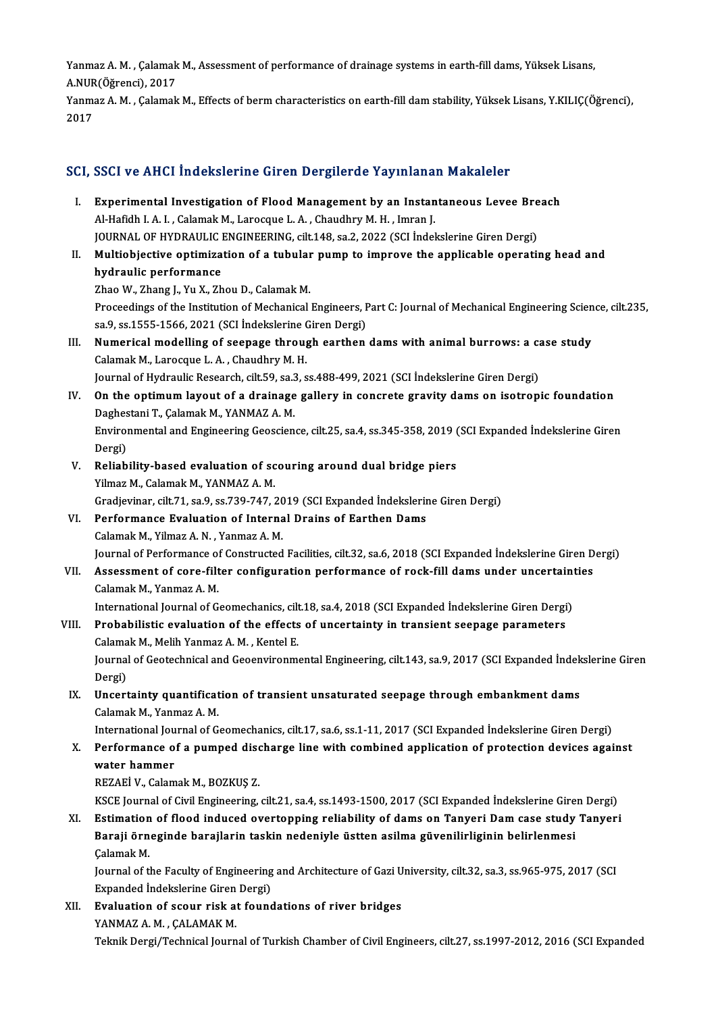Yanmaz A. M. , Çalamak M., Assessment of performance of drainage systems in earth-fill dams, Yüksek Lisans,<br>A NUP (Öğropsi), 2017 Yanmaz A. M. , Çalamak<br>A.NUR(Öğrenci), 2017<br>Yanmaz A. M., *Calamak* A NUR(Öğrenci), 2017

Yanmaz A.M. , Çalamak M., Effects of berm characteristics on earth-fill dam stability, Yüksek Lisans, Y.KILIÇ(Öğrenci),<br>2017

# <sub>2017</sub><br>SCI, SSCI ve AHCI İndekslerine Giren Dergilerde Yayınlanan Makaleler

- CI, SSCI ve AHCI Indekslerine Giren Dergilerde Yayınlanan Makaleler<br>I. Experimental Investigation of Flood Management by an Instantaneous Levee Breach<br>Al Hafidh LA L. Calamak M. Larecaus L.A. Chaudhw M.H. Imran L. Experimental Investigation of Flood Management by an Instand.<br>Al-Hafidh I. A. I. , Calamak M., Larocque L. A. , Chaudhry M. H. , Imran J.<br>JOUPMAL OF HYDRAILLE ENCINEERING silt 148 sa 2, 2022 (SCL Indel Experimental Investigation of Flood Management by an Instantaneous Levee Bre<br>Al-Hafidh I. A. I. , Calamak M., Larocque L. A. , Chaudhry M. H. , Imran J.<br>JOURNAL OF HYDRAULIC ENGINEERING, cilt.148, sa.2, 2022 (SCI İndeksler Al-Hafidh I. A. I. , Calamak M., Larocque L. A. , Chaudhry M. H. , Imran J.<br>JOURNAL OF HYDRAULIC ENGINEERING, cilt.148, sa.2, 2022 (SCI indekslerine Giren Dergi)<br>II. Multiobjective optimization of a tubular pump to improve
- JOURNAL OF HYDRAULIC<br>Multiobjective optimiza<br>hydraulic performance<br><sup>7hoo W.</sup> <sup>7hong L. Yu Y. 7h</sup> Multiobjective optimization of a tubular<br>hydraulic performance<br>Zhao W., Zhang J., Yu X., Zhou D., Calamak M.<br>Preseedings of the Institution of Meshanisal.

hydraulic performance<br>Zhao W., Zhang J., Yu X., Zhou D., Calamak M.<br>Proceedings of the Institution of Mechanical Engineers, Part C: Journal of Mechanical Engineering Science, cilt.235, Zhao W., Zhang J., Yu X., Zhou D., Calamak M.<br>Proceedings of the Institution of Mechanical Engineers, F<br>sa.9, ss.1555-1566, 2021 (SCI İndekslerine Giren Dergi)<br>Numerisal madelling of seenage through earthen Proceedings of the Institution of Mechanical Engineers, Part C: Journal of Mechanical Engineering Scien<br>sa.9, ss.1555-1566, 2021 (SCI Indekslerine Giren Dergi)<br>III. Numerical modelling of seepage through earthen dams with

- sa.9, ss.1555-1566, 2021 (SCI İndekslerine Giren Dergi)<br>Numerical modelling of seepage through earthen dams with animal burrows: a c<br>Calamak M., Larocque L. A. , Chaudhry M. H.<br>Journal of Hydraulic Research, cilt.59, sa.3, Numerical modelling of seepage through earthen dams with animal burrows: a ca<br>Calamak M., Larocque L. A. , Chaudhry M. H.<br>Journal of Hydraulic Research, cilt.59, sa.3, ss.488-499, 2021 (SCI İndekslerine Giren Dergi)<br>On the Calamak M., Larocque L. A. , Chaudhry M. H.<br>Journal of Hydraulic Research, cilt.59, sa.3, ss.488-499, 2021 (SCI indekslerine Giren Dergi)<br>IV. On the optimum layout of a drainage gallery in concrete gravity dams on isotropi
- Journal of Hydraulic Research, cilt.59, sa.3<br>On the optimum layout of a drainage<br>Daghestani T., Çalamak M., YANMAZ A. M.<br>Environmental and Engineering Cooscion On the optimum layout of a drainage gallery in concrete gravity dams on isotropic foundation<br>Daghestani T., Çalamak M., YANMAZ A. M.<br>Environmental and Engineering Geoscience, cilt.25, sa.4, ss.345-358, 2019 (SCI Expanded İ Daghestani T., Çalamak M., YANMAZ A. M.<br>Environmental and Engineering Geoscience, cilt.25, sa.4, ss.345-358, 2019 (SCI Expanded İndekslerine Giren<br>Dergi) Environmental and Engineering Geoscience, cilt.25, sa.4, ss.345-358, 2019 (<br>Dergi)<br>V. Reliability-based evaluation of scouring around dual bridge piers<br>Vilmaz M. Colamak M. VANM47. A. M
- Dergi)<br>Reliability-based evaluation of sc<br>Yilmaz M., Calamak M., YANMAZ A. M.<br>Credieviner, silt 71, se 9, ss 729, 747, 1 Reliability-based evaluation of scouring around dual bridge piers<br>Yilmaz M., Calamak M., YANMAZ A. M.<br>Gradjevinar, cilt.71, sa.9, ss.739-747, 2019 (SCI Expanded İndekslerine Giren Dergi)<br>Performance Evaluation of Internal

## Yilmaz M., Calamak M., YANMAZ A. M.<br>Gradjevinar, cilt.71, sa.9, ss.739-747, 2019 (SCI Expanded Indekslerin<br>VI. Performance Evaluation of Internal Drains of Earthen Dams<br>Calamak M., Yilmaz A. N., Yanmaz A. M. Gradjevinar, cilt.71, sa.9, ss.739-747, 20<br>Performance Evaluation of Interna<br>Calamak M., Yilmaz A. N. , Yanmaz A. M.<br>Journal of Performance of Constructed Journal of Performance of Constructed Facilities, cilt.32, sa.6, 2018 (SCI Expanded İndekslerine Giren Dergi) Calamak M., Yilmaz A. N. , Yanmaz A. M.<br>Journal of Performance of Constructed Facilities, cilt.32, sa.6, 2018 (SCI Expanded Indekslerine Giren D<br>VII. Assessment of core-filter configuration performance of rock-fill dams un

## Journal of Performance of<br>Assessment of core-filt<br>Calamak M., Yanmaz A. M.<br>International Journal of C Assessment of core-filter configuration performance of rock-fill dams under uncertaint<br>Calamak M., Yanmaz A. M.<br>International Journal of Geomechanics, cilt.18, sa.4, 2018 (SCI Expanded İndekslerine Giren Dergi)<br>Probobilist

International Journal of Geomechanics, cilt.18, sa.4, 2018 (SCI Expanded Indekslerine Giren Dergi)

# Calamak M., Yanmaz A. M.<br>International Journal of Geomechanics, cilt.18, sa.4, 2018 (SCI Expanded Indekslerine Giren Dergi<br>VIII. Probabilistic evaluation of the effects of uncertainty in transient seepage parameters<br>Calama

Probabilistic evaluation of the effects of uncertainty in transient seepage parameters<br>Calamak M., Melih Yanmaz A. M. , Kentel E.<br>Journal of Geotechnical and Geoenvironmental Engineering, cilt.143, sa.9, 2017 (SCI Expanded Calama<br>Journal<br>Dergi)<br>Unceri Journal of Geotechnical and Geoenvironmental Engineering, cilt.143, sa.9, 2017 (SCI Expanded Indek<br>Dergi)<br>IX. Uncertainty quantification of transient unsaturated seepage through embankment dams<br>Celamek M. Yanmaz A. M

Dergi)<br>IX. Uncertainty quantification of transient unsaturated seepage through embankment dams<br>Calamak M., Yanmaz A. M. Uncertainty quantification of transient unsaturated seepage through embankment dams<br>Calamak M., Yanmaz A. M.<br>International Journal of Geomechanics, cilt.17, sa.6, ss.1-11, 2017 (SCI Expanded İndekslerine Giren Dergi)<br>Perfo

## Calamak M., Yanmaz A. M.<br>International Journal of Geomechanics, cilt.17, sa.6, ss.1-11, 2017 (SCI Expanded İndekslerine Giren Dergi)<br>X. Performance of a pumped discharge line with combined application of protection devices International Jou<br>Performance o<br>water hammer<br>PEZAELV Colom Performance of a pumped disc<br>water hammer<br>REZAEİ V., Calamak M., BOZKUŞ Z.<br>KSCE Journal of Civil Engineering water hammer<br>REZAEİ V., Calamak M., BOZKUŞ Z.<br>KSCE Journal of Civil Engineering, cilt.21, sa.4, ss.1493-1500, 2017 (SCI Expanded İndekslerine Giren Dergi)

REZAEİ V., Calamak M., BOZKUŞ Z.<br>KSCE Journal of Civil Engineering, cilt.21, sa.4, ss.1493-1500, 2017 (SCI Expanded İndekslerine Giren Dergi)<br>XI. Estimation of flood induced overtopping reliability of dams on Tanyeri Dam c KSCE Journal of Civil Engineering, cilt.21, sa.4, ss.1493-1500, 2017 (SCI Expanded İndekslerine Gire<br>Estimation of flood induced overtopping reliability of dams on Tanyeri Dam case study<br>Baraji örneginde barajlarin taskin Estimation<br>Baraji örn<br>Çalamak M.<br>Journal of t Baraji örneginde barajlarin taskin nedeniyle üstten asilma güvenilirliginin belirlenmesi<br>Çalamak M.<br>Journal of the Faculty of Engineering and Architecture of Gazi University, cilt.32, sa.3, ss.965-975, 2017 (SCI<br>Eynanded İ

Calamak M.<br>Journal of the Faculty of Engineering<br>Expanded İndekslerine Giren Dergi)<br>Fyaluation of 600un rick at found Journal of the Faculty of Engineering and Architecture of Gazi U<br>Expanded Indekslerine Giren Dergi)<br>XII. Evaluation of scour risk at foundations of river bridges<br>VANMAZA M. CALAMAZM

Expanded İndekslerine Giren<br>**Evaluation of scour risk a**<br>YANMAZ A.M. , ÇALAMAK M.<br>Telmik Dengi (Technical Jeurn YANMAZ A. M. , ÇALAMAK M.<br>Teknik Dergi/Technical Journal of Turkish Chamber of Civil Engineers, cilt.27, ss.1997-2012, 2016 (SCI Expanded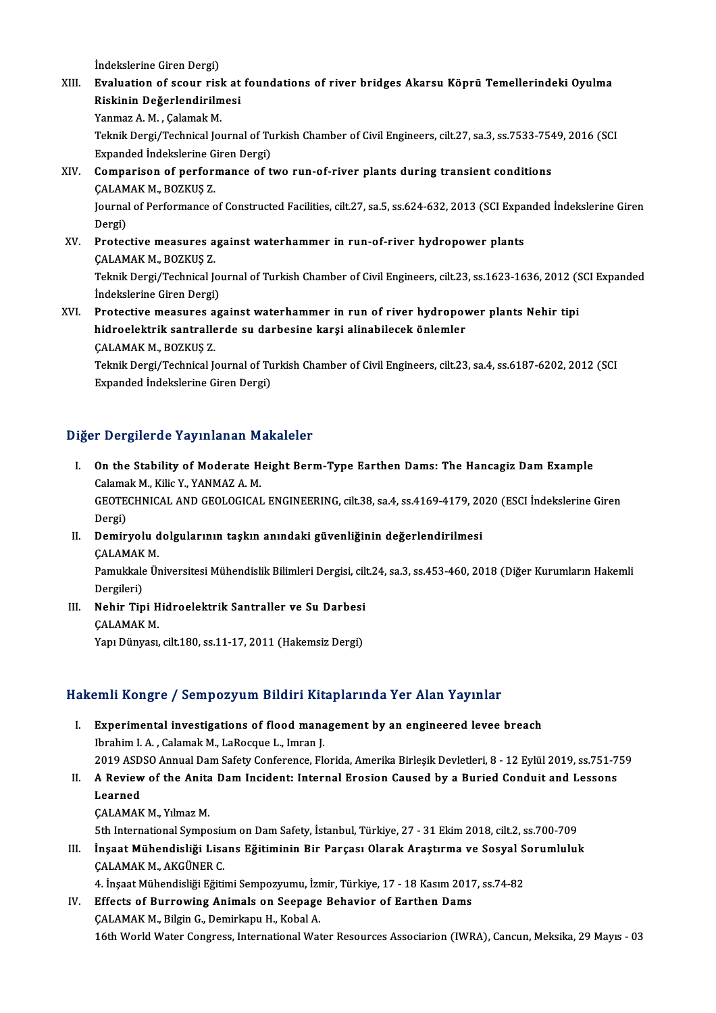İndekslerine Giren Dergi)

İndekslerine Giren Dergi)<br>XIII. Evaluation of scour risk at foundations of river bridges Akarsu Köprü Temellerindeki Oyulma<br>Riskinin Dežerlendirilmesi İndekslerine Giren Dergi)<br>Evaluation of scour risk at<br>Riskinin Değerlendirilmesi<br><sup>Vonmag</sup> A.M. *C*alamak M Riskinin Değerlendirilmesi<br>Yanmaz A.M., Çalamak M. Riskinin Değerlendirilmesi<br>Yanmaz A. M. , Çalamak M.<br>Teknik Dergi/Technical Journal of Turkish Chamber of Civil Engineers, cilt.27, sa.3, ss.7533-7549, 2016 (SCI<br>Evnanded İndelselerine Ciren Dergi) Yanmaz A. M. , Çalamak M.<br>Teknik Dergi/Technical Journal of Tu<br>Expanded İndekslerine Giren Dergi)<br>Comnarison of porformance of t Teknik Dergi/Technical Journal of Turkish Chamber of Civil Engineers, cilt.27, sa.3, ss.7533-754<br>Expanded Indekslerine Giren Dergi)<br>XIV. Comparison of performance of two run-of-river plants during transient conditions<br>CALA

## Expanded Indekslerine G<br>Comparison of perform<br>CALAMAK M., BOZKUŞ Z.<br>Journal of Performance c Comparison of performance of two run-of-river plants during transient conditions<br>ÇALAMAK M., BOZKUŞ Z.<br>Journal of Performance of Constructed Facilities, cilt.27, sa.5, ss.624-632, 2013 (SCI Expanded İndekslerine Giren<br>Dorg CALAM<br>Journal<br>Dergi)<br>Protes

Journal of Performance of Constructed Facilities, cilt.27, sa.5, ss.624-632, 2013 (SCI Expa<br>Dergi)<br>XV. Protective measures against waterhammer in run-of-river hydropower plants<br>CALAMAK M. POZKIS 7 Dergi)<br><mark>Protective measures a</mark><br>ÇALAMAK M., BOZKUŞ Z.<br>Telmik Dergi (Technicel I CALAMAK M., BOZKUŞ Z.<br>Teknik Dergi/Technical Journal of Turkish Chamber of Civil Engineers, cilt.23, ss.1623-1636, 2012 (SCI Expanded İndekslerine Giren Dergi) Teknik Dergi/Technical Journal of Turkish Chamber of Civil Engineers, cilt.23, ss.1623-1636, 2012 (States indekslerine Giren Dergi)<br>XVI. Protective measures against waterhammer in run of river hydropower plants Nehir tipi<br>

İndekslerine Giren Dergi)<br>Protective measures against waterhammer in run of river hydropov<br>hidroelektrik santrallerde su darbesine karşi alinabilecek önlemler<br>CALAMAKM, POZKUS Z Protective measures a<br>hidroelektrik santralle<br>ÇALAMAK M., BOZKUŞ Z.<br>Telmik Dergi (Technicel I hidroelektrik santrallerde su darbesine karşi alinabilecek önlemler<br>ÇALAMAK M., BOZKUŞ Z.<br>Teknik Dergi/Technical Journal of Turkish Chamber of Civil Engineers, cilt.23, sa.4, ss.6187-6202, 2012 (SCI<br>Eynanded İndelslerine C

ÇALAMAK M., BOZKUŞ Z.<br>Teknik Dergi/Technical Journal of Tu<br>Expanded İndekslerine Giren Dergi)

# Expanded Indekslerine Giren Dergi)<br>Diğer Dergilerde Yayınlanan Makaleler

- Iger Dergilerde Yayınlanan Makaleler<br>I. On the Stability of Moderate Height Berm-Type Earthen Dams: The Hancagiz Dam Example<br>Colamek M. Kilie V. VANMAZ A M Calamak M., Kilic Y., YANMAZ A. M.<br>Calamak M., Kilic Y., YANMAZ A. M.<br>CEOTECHNICAL AND CEOLOCICAL On the Stability of Moderate Height Berm-Type Earthen Dams: The Hancagiz Dam Example<br>Calamak M., Kilic Y., YANMAZ A. M.<br>GEOTECHNICAL AND GEOLOGICAL ENGINEERING, cilt.38, sa.4, ss.4169-4179, 2020 (ESCI İndekslerine Giren<br>Pe Calama<br>GEOTE<br>Dergi)<br>Demir GEOTECHNICAL AND GEOLOGICAL ENGINEERING, cilt.38, sa.4, ss.4169-4179, 20<br>Dergi)<br>II. Demiryolu dolgularının taşkın anındaki güvenliğinin değerlendirilmesi<br>CALAMAK M
- Dergi)<br>II. Demiryolu dolgularının taşkın anındaki güvenliğinin değerlendirilmesi<br>CALAMAKM. Demiryolu dolgularının taşkın anındaki güvenliğinin değerlendirilmesi<br>ÇALAMAK M.<br>Pamukkale Üniversitesi Mühendislik Bilimleri Dergisi, cilt.24, sa.3, ss.453-460, 2018 (Diğer Kurumların Hakemli

CALAMAK<br>Pamukkale<br>Dergileri)<br>Nobir Tin Pamukkale Üniversitesi Mühendislik Bilimleri Dergisi, cil<br>Dergileri)<br>III. Nehir Tipi Hidroelektrik Santraller ve Su Darbesi

Dergileri)<br><mark>Nehir Tipi H</mark><br>ÇALAMAK M.<br><sup>Von: Dünyası</sup> Nehir Tipi Hidroelektrik Santraller ve Su Darbesi<br>ÇALAMAK M.<br>Yapı Dünyası, cilt.180, ss.11-17, 2011 (Hakemsiz Dergi)

# Yapı Dünyası, cilt.180, ss.11-17, 2011 (Hakemsiz Dergi)<br>Hakemli Kongre / Sempozyum Bildiri Kitaplarında Yer Alan Yayınlar

- I. Experimental investigations of floodmanagement by an engineered levee breach IbrahimI.A. ,CalamakM.,LaRocque L., ImranJ. Experimental investigations of flood management by an engineered levee breach<br>Ibrahim I. A. , Calamak M., LaRocque L., Imran J.<br>2019 ASDSO Annual Dam Safety Conference, Florida, Amerika Birleşik Devletleri, 8 - 12 Eylül 20 Ibrahim I. A. , Calamak M., LaRocque L., Imran J.<br>2019 ASDSO Annual Dam Safety Conference, Florida, Amerika Birleşik Devletleri, 8 - 12 Eylül 2019, ss.751-7<br>II. A Review of the Anita Dam Incident: Internal Erosion Caus
- 2019 ASD<br>**A Review<br>Learned**<br>CALAMAR II. A Review of the Anita Dam Incident: Internal Erosion Caused by a Buried Conduit and Lessons<br>Learned<br>CALAMAK M., Yılmaz M.
	-

5th International Symposium on Dam Safety, İstanbul, Türkiye, 27 - 31 Ekim 2018, cilt.2, ss.700-709

CALAMAK M., Yılmaz M.<br>1990- 5th International Symposium on Dam Safety, İstanbul, Türkiye, 27 - 31 Ekim 2018, cilt.2, ss.700-709<br>1991- 11. İnşaat Mühendisliği Lisans Eğitiminin Bir Parçası Olarak Araştırma ve Sosyal Sorumlu 5th International Symposiu<br>İnşaat Mühendisliği Lisa<br>ÇALAMAK M., AKGÜNER C.<br>4. İnsaat Mühendisliği Eğiti İnşaat Mühendisliği Lisans Eğitiminin Bir Parçası Olarak Araştırma ve Sosyal S<br>ÇALAMAK M., AKGÜNER C.<br>4. İnşaat Mühendisliği Eğitimi Sempozyumu, İzmir, Türkiye, 17 - 18 Kasım 2017, ss.74-82<br>Effecta of Bunnowing Animala on

CALAMAK M., AKGÜNER C.<br>4. İnşaat Mühendisliği Eğitimi Sempozyumu, İzmir, Türkiye, 17 - 18 Kasım 2017<br>IV. Effects of Burrowing Animals on Seepage Behavior of Earthen Dams 4. İnşaat Mühendisliği Eğitimi Sempozyumu, İzr<br>Effects of Burrowing Animals on Seepage<br>ÇALAMAK M., Bilgin G., Demirkapu H., Kobal A.<br>16th World Water Congress, International Wat CALAMAK M., Bilgin G., Demirkapu H., Kobal A.<br>16th World Water Congress, International Water Resources Associarion (IWRA), Cancun, Meksika, 29 Mayıs - 03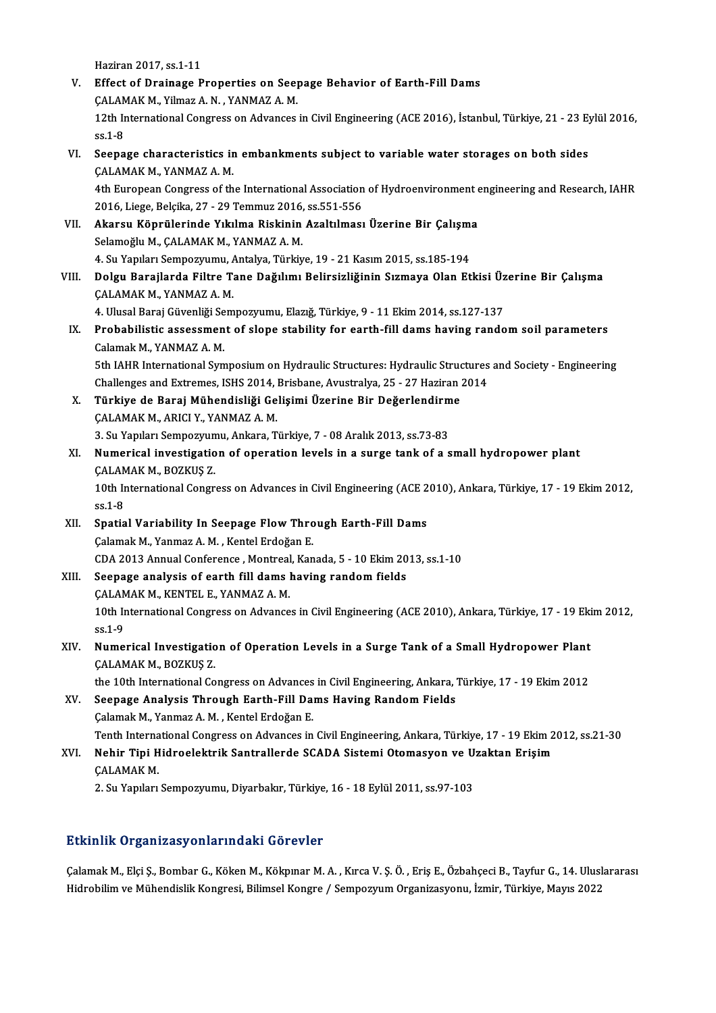Haziran2017, ss.1-11

- Haziran 2017, ss.1-11<br>V. Effect of Drainage Properties on Seepage Behavior of Earth-Fill Dams<br>CALAMAKM Vilmar A N. VANMAZ A M Haziran 2017, ss.1-11<br>Effect of Drainage Properties on See<sub>l</sub><br>ÇALAMAK M., Yilmaz A. N. , YANMAZ A. M.<br>12th International Congrees on Advances Effect of Drainage Properties on Seepage Behavior of Earth-Fill Dams<br>ÇALAMAK M., Yilmaz A. N. , YANMAZ A. M.<br>12th International Congress on Advances in Civil Engineering (ACE 2016), İstanbul, Türkiye, 21 - 23 Eylül 2016,<br>9 CALAM<br>12th In<br>ss.1-8 VI. Seepage characteristics in embankments subject to variable water storages on both sides
- ÇALAMAK M., YANMAZ A.M. Seepage characteristics in embankments subject to variable water storages on both sides<br>CALAMAK M., YANMAZ A. M.<br>4th European Congress of the International Association of Hydroenvironment engineering and Research, IAHR<br>201 CALAMAK M., YANMAZ A. M.<br>4th European Congress of the International Association<br>2016, Liege, Belçika, 27 - 29 Temmuz 2016, ss.551-556<br>Akansu Könnüleninde Yıkılma Biskinin Asaltılması

4th European Congress of the International Association of Hydroenvironment of 2016, Liege, Belçika, 27 - 29 Temmuz 2016, ss.551-556<br>VII. Akarsu Köprülerinde Yıkılma Riskinin Azaltılması Üzerine Bir Çalışma<br>Selamoğlu M. CAL

- 2016, Liege, Belçika, 27 29 Temmuz 2016,<br>**Akarsu Köprülerinde Yıkılma Riskinin**<br>Selamoğlu M., ÇALAMAK M., YANMAZ A. M.<br>4. Su Yanıları Semnezzumu, Antalya Türkiy Akarsu Köprülerinde Yıkılma Riskinin Azaltılması Üzerine Bir Çalışm:<br>Selamoğlu M., ÇALAMAK M., YANMAZ A. M.<br>4. Su Yapıları Sempozyumu, Antalya, Türkiye, 19 - 21 Kasım 2015, ss.185-194<br>Dolay Barailarda Filtre Tane Dažılımı
- Selamoğlu M., ÇALAMAK M., YANMAZ A. M.<br>4. Su Yapıları Sempozyumu, Antalya, Türkiye, 19 21 Kasım 2015, ss.185-194<br>VIII. Dolgu Barajlarda Filtre Tane Dağılımı Belirsizliğinin Sızmaya Olan Etkisi Üzerine Bir Çalışma<br>CAL 4. Su Yapıları Sempozyumu, Antalya, Türkiye, 19 - 21 Kasım 2015, ss.185-194<br>Dolgu Barajlarda Filtre Tane Dağılımı Belirsizliğinin Sızmaya Olan Et<br>ÇALAMAK M., YANMAZ A. M. Dolgu Barajlarda Filtre Tane Dağılımı Belirsizliğinin Sızmaya Olan Etkisi Üz<br>ÇALAMAK M., YANMAZ A. M.<br>4. Ulusal Baraj Güvenliği Sempozyumu, Elazığ, Türkiye, 9 - 11 Ekim 2014, ss.127-137<br>Probobilistia assessment of slape st

4. Ulusal Baraj Güvenliği Sempozyumu, Elazığ, Türkiye, 9 - 11 Ekim 2014, ss 127-137

IX. Probabilistic assessment of slope stability for earth-fill dams having random soil parameters Calamak M., YANMAZ A. M.

5th IAHR International Symposium on Hydraulic Structures: Hydraulic Structures and Society - Engineering Calamak M., YANMAZ A. M.<br>5th IAHR International Symposium on Hydraulic Structures: Hydraulic Structures<br>Challenges and Extremes, ISHS 2014, Brisbane, Avustralya, 25 - 27 Haziran 2014<br>Türkiye de Barei Mühandieliği Colisimi 5th IAHR International Symposium on Hydraulic Structures: Hydraulic Struc<br>Challenges and Extremes, ISHS 2014, Brisbane, Avustralya, 25 - 27 Haziran<br>X. Türkiye de Baraj Mühendisliği Gelişimi Üzerine Bir Değerlendirme<br>CALAMA

- Challenges and Extremes, ISHS 2014, 1<br>Türkiye de Baraj Mühendisliği Ge<br>ÇALAMAK M., ARICI Y., YANMAZ A. M.<br>2. Su Vanıları Somnozuumu, Ankara T Türkiye de Baraj Mühendisliği Gelişimi Üzerine Bir Değerlendirm<br>ÇALAMAK M., ARICI Y., YANMAZ A. M.<br>3. Su Yapıları Sempozyumu, Ankara, Türkiye, 7 - 08 Aralık 2013, ss.73-83<br>Numerical investigation of aneration levels in a s
- CALAMAK M., ARICI Y., YANMAZ A. M.<br>3. Su Yapıları Sempozyumu, Ankara, Türkiye, 7 08 Aralık 2013, ss.73-83<br>XI. Numerical investigation of operation levels in a surge tank of a small hydropower plant<br>CALAMAK M. POZKUS 3. Su Yapıları Sempozyun<br>Numerical investigatio<br>ÇALAMAK M., BOZKUŞ Z.<br>10th International Congr ÇALAMAK M., BOZKUŞ Z.

10th International Congress on Advances in Civil Engineering (ACE 2010), Ankara, Türkiye, 17 - 19 Ekim 2012, ss.1-8 10th International Congress on Advances in Civil Engineering (ACE 2<br>ss.1-8<br>XII. Spatial Variability In Seepage Flow Through Earth-Fill Dams<br>Colamak M. Vanmag A. M. Kantal Endožan E

- ss.1-8<br>Spatial Variability In Seepage Flow Thro<br>Çalamak M., Yanmaz A. M. , Kentel Erdoğan E.<br>CDA 2012 Annual Conference, Montreal Kan Spatial Variability In Seepage Flow Through Earth-Fill Dams<br>Çalamak M., Yanmaz A. M. , Kentel Erdoğan E.<br>CDA 2013 Annual Conference , Montreal, Kanada, 5 - 10 Ekim 2013, ss.1-10<br>Seepage analysis of earth fill dams boying r
- Calamak M., Yanmaz A. M. , Kentel Erdoğan E.<br>CDA 2013 Annual Conference , Montreal, Kanada, 5 10 Ekim 20<br>XIII. Seepage analysis of earth fill dams having random fields<br>CALAMAK M., KENTEL E., YANMAZ A. M. CDA 2013 Annual Conference , Montreal<br>Seepage analysis of earth fill dams <br>CALAMAK M., KENTEL E., YANMAZ A. M.<br>10th International Congress on Advance Seepage analysis of earth fill dams having random fields<br>ÇALAMAK M., KENTEL E., YANMAZ A. M.<br>10th International Congress on Advances in Civil Engineering (ACE 2010), Ankara, Türkiye, 17 - 19 Ekim 2012,<br>201.9 CALAM<br>10th In<br>ss.1-9 10th International Congress on Advances in Civil Engineering (ACE 2010), Ankara, Türkiye, 17 - 19 Eki<br>ss.1-9<br>XIV. Numerical Investigation of Operation Levels in a Surge Tank of a Small Hydropower Plant
- ss.1-9<br>Numerical Investigatio<br>ÇALAMAK M., BOZKUŞ Z.<br>the 10th International Co Numerical Investigation of Operation Levels in a Surge Tank of a Small Hydropower Plant<br>CALAMAK M., BOZKUŞ Z.<br>the 10th International Congress on Advances in Civil Engineering, Ankara, Türkiye, 17 - 19 Ekim 2012<br>Seepage Ana CALAMAK M., BOZKUŞ Z.<br>the 10th International Congress on Advances in Civil Engineering, Ankara, Türkiye, 17 - 19 Ekim 2012<br>XV. Seepage Analysis Through Earth-Fill Dams Having Random Fields

Çalamak M., Yanmaz A.M., Kentel Erdoğan E. Seepage Analysis Through Earth-Fill Dams Having Random Fields<br>Çalamak M., Yanmaz A. M. , Kentel Erdoğan E.<br>Tenth International Congress on Advances in Civil Engineering, Ankara, Türkiye, 17 - 19 Ekim 2012, ss.21-30<br>Nobir T Calamak M., Yanmaz A. M. , Kentel Erdoğan E.<br>Tenth International Congress on Advances in Civil Engineering, Ankara, Türkiye, 17 - 19 Ekim 2<br>XVI. Nehir Tipi Hidroelektrik Santrallerde SCADA Sistemi Otomasyon ve Uzaktan Eriş

## Tenth Interna<br>Nehir Tipi H<br>ÇALAMAK M.<br>2. Su Yanıları

1992 Nehir Tipi Hidroelektrik Santrallerde SCADA Sistemi Otomasyon ve Uzaktan Erişim<br>CALAMAK M.<br>2. Su Yapıları Sempozyumu, Diyarbakır, Türkiye, 16 - 18 Eylül 2011, ss.97-103

## Etkinlik Organizasyonlarındaki Görevler

Etkinlik Organizasyonlarındaki Görevler<br>Çalamak M., Elçi Ş., Bombar G., Köken M., Kökpınar M. A. , Kırca V. Ş. Ö. , Eriş E., Özbahçeci B., Tayfur G., 14. Uluslararası<br>Hidrobilin ve Mühandialik Kongresi, Bilimsel Kongre / S Himmin vi gunizaciy olitar matım dör ovlor<br>Çalamak M., Elçi Ş., Bombar G., Köken M., Kökpınar M. A. , Kırca V. Ş. Ö. , Eriş E., Özbahçeci B., Tayfur G., 14. Ulusl<br>Hidrobilim ve Mühendislik Kongresi, Bilimsel Kongre / Sempo